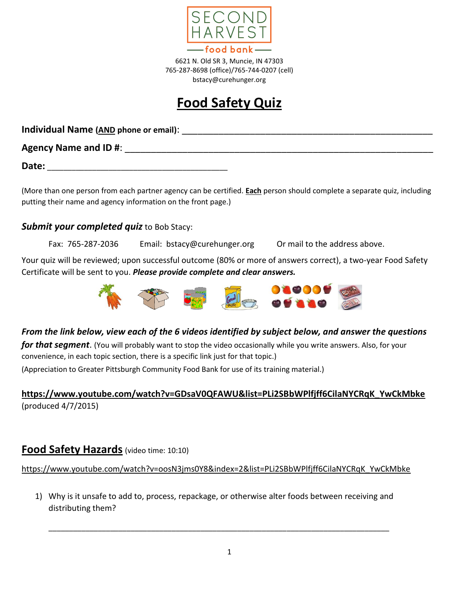

6621 N. Old SR 3, Muncie, IN 47303 765-287-8698 (office)/765-744-0207 (cell) bstacy@curehunger.org

# **Food Safety Quiz**

**Individual Name (AND phone or email)**: \_\_\_\_\_\_\_\_\_\_\_\_\_\_\_\_\_\_\_\_\_\_\_\_\_\_\_\_\_\_\_\_\_\_\_\_\_\_\_\_\_\_\_\_\_\_\_\_

**Agency Name and ID #**: \_\_\_\_\_\_\_\_\_\_\_\_\_\_\_\_\_\_\_\_\_\_\_\_\_\_\_\_\_\_\_\_\_\_\_\_\_\_\_\_\_\_\_\_\_\_\_\_\_\_\_\_\_\_\_\_\_\_\_

**Date:** \_\_\_\_\_\_\_\_\_\_\_\_\_\_\_\_\_\_\_\_\_\_\_\_\_\_\_\_\_\_\_\_\_\_\_\_\_\_\_\_\_\_\_\_

(More than one person from each partner agency can be certified. **Each** person should complete a separate quiz, including putting their name and agency information on the front page.)

### **Submit your completed quiz** to Bob Stacy:

Fax: 765-287-2036 Email: bstacy@curehunger.org Or mail to the address above.

Your quiz will be reviewed; upon successful outcome (80% or more of answers correct), a two-year Food Safety Certificate will be sent to you. *Please provide complete and clear answers.*



### *From the link below, view each of the 6 videos identified by subject below, and answer the questions*

*for that segment*. (You will probably want to stop the video occasionally while you write answers. Also, for your convenience, in each topic section, there is a specific link just for that topic.)

(Appreciation to Greater Pittsburgh Community Food Bank for use of its training material.)

### **[https://www.youtube.com/watch?v=GDsaV0QFAWU&list=PLi2SBbWPlfjff6CilaNYCRqK\\_YwCkMbke](https://www.youtube.com/watch?v=GDsaV0QFAWU&list=PLi2SBbWPlfjff6CilaNYCRqK_YwCkMbke)** (produced 4/7/2015)

# **Food Safety Hazards** (video time: 10:10)

[https://www.youtube.com/watch?v=oosN3jms0Y8&index=2&list=PLi2SBbWPlfjff6CilaNYCRqK\\_YwCkMbke](https://www.youtube.com/watch?v=oosN3jms0Y8&index=2&list=PLi2SBbWPlfjff6CilaNYCRqK_YwCkMbke)

1) Why is it unsafe to add to, process, repackage, or otherwise alter foods between receiving and distributing them?

\_\_\_\_\_\_\_\_\_\_\_\_\_\_\_\_\_\_\_\_\_\_\_\_\_\_\_\_\_\_\_\_\_\_\_\_\_\_\_\_\_\_\_\_\_\_\_\_\_\_\_\_\_\_\_\_\_\_\_\_\_\_\_\_\_\_\_\_\_\_\_\_\_\_\_\_\_\_\_\_\_\_\_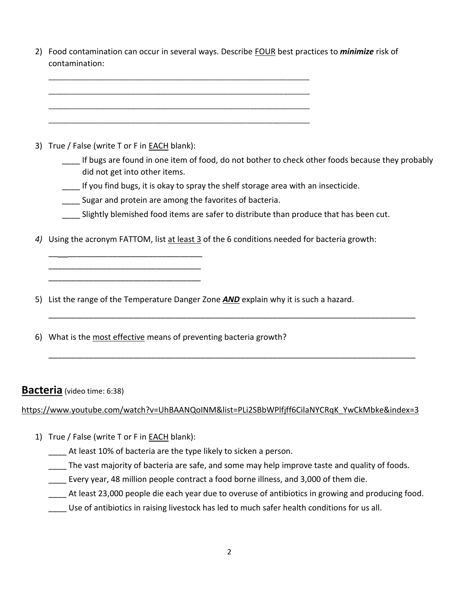2) Food contamination can occur in several ways. Describe FOUR best practices to *minimize* risk of contamination:

3) True / False (write T or F in **EACH** blank):

\_\_\_\_\_\_\_\_\_\_\_\_\_\_\_\_\_\_\_\_\_\_\_\_\_\_\_\_\_\_\_\_\_\_ \_\_\_\_\_\_\_\_\_\_\_\_\_\_\_\_\_\_\_\_\_\_\_\_\_\_\_\_\_\_\_\_\_\_ \_\_\_\_\_\_\_\_\_\_\_\_\_\_\_\_\_\_\_\_\_\_\_\_\_\_\_\_\_\_\_\_\_\_

\_\_\_\_ If bugs are found in one item of food, do not bother to check other foods because they probably did not get into other items.

\_\_\_\_ If you find bugs, it is okay to spray the shelf storage area with an insecticide.

**\_\_\_\_** Sugar and protein are among the favorites of bacteria.

\_\_\_\_\_\_\_\_\_\_\_\_\_\_\_\_\_\_\_\_\_\_\_\_\_\_\_\_\_\_\_\_\_\_\_\_\_\_\_\_\_\_\_\_\_\_\_\_\_\_\_\_\_\_\_\_\_\_\_\_\_\_\_\_\_\_\_\_\_\_ \_\_\_\_\_\_\_\_\_\_\_\_\_\_\_\_\_\_\_\_\_\_\_\_\_\_\_\_\_\_\_\_\_\_\_\_\_\_\_\_\_\_\_\_\_\_\_\_\_\_\_\_\_\_\_\_\_\_\_\_\_\_\_\_\_\_\_\_\_\_ \_\_\_\_\_\_\_\_\_\_\_\_\_\_\_\_\_\_\_\_\_\_\_\_\_\_\_\_\_\_\_\_\_\_\_\_\_\_\_\_\_\_\_\_\_\_\_\_\_\_\_\_\_\_\_\_\_\_\_\_\_\_\_\_\_\_\_\_\_\_ \_\_\_\_\_\_\_\_\_\_\_\_\_\_\_\_\_\_\_\_\_\_\_\_\_\_\_\_\_\_\_\_\_\_\_\_\_\_\_\_\_\_\_\_\_\_\_\_\_\_\_\_\_\_\_\_\_\_\_\_\_\_\_\_\_\_\_\_\_\_

Slightly blemished food items are safer to distribute than produce that has been cut.

\_\_\_\_\_\_\_\_\_\_\_\_\_\_\_\_\_\_\_\_\_\_\_\_\_\_\_\_\_\_\_\_\_\_\_\_\_\_\_\_\_\_\_\_\_\_\_\_\_\_\_\_\_\_\_\_\_\_\_\_\_\_\_\_\_\_\_\_\_\_\_\_\_\_\_\_\_\_\_\_\_\_

\_\_\_\_\_\_\_\_\_\_\_\_\_\_\_\_\_\_\_\_\_\_\_\_\_\_\_\_\_\_\_\_\_\_\_\_\_\_\_\_\_\_\_\_\_\_\_\_\_\_\_\_\_\_\_\_\_\_\_\_\_\_\_\_\_\_\_\_\_\_\_\_\_\_\_\_\_\_\_\_\_\_

*4)* Using the acronym FATTOM, list at least 3 of the 6 conditions needed for bacteria growth:

5) List the range of the Temperature Danger Zone *AND* explain why it is such a hazard.

6) What is the most effective means of preventing bacteria growth?

#### **Bacteria** (video time: 6:38)

[https://www.youtube.com/watch?v=UhBAANQoINM&list=PLi2SBbWPlfjff6CilaNYCRqK\\_YwCkMbke&index=3](https://www.youtube.com/watch?v=UhBAANQoINM&list=PLi2SBbWPlfjff6CilaNYCRqK_YwCkMbke&index=3)

- 1) True / False (write T or F in **EACH** blank):
	- At least 10% of bacteria are the type likely to sicken a person.
	- The vast majority of bacteria are safe, and some may help improve taste and quality of foods.
	- Every year, 48 million people contract a food borne illness, and 3,000 of them die.
	- \_\_\_\_ At least 23,000 people die each year due to overuse of antibiotics in growing and producing food.
	- Use of antibiotics in raising livestock has led to much safer health conditions for us all.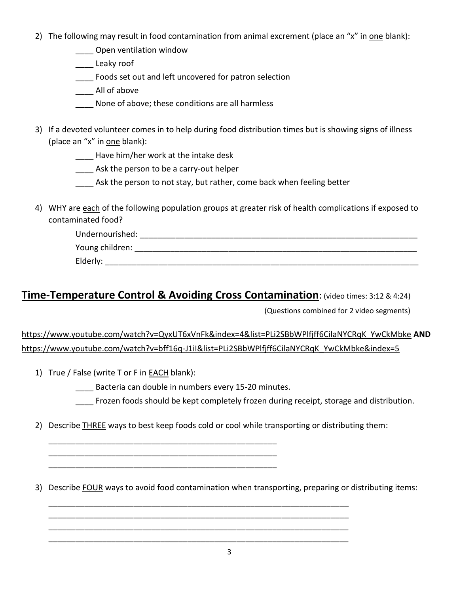2) The following may result in food contamination from animal excrement (place an "x" in one blank):

Open ventilation window

\_\_\_\_ Leaky roof

\_\_\_\_ Foods set out and left uncovered for patron selection

\_\_\_\_ All of above

- None of above; these conditions are all harmless
- 3) If a devoted volunteer comes in to help during food distribution times but is showing signs of illness (place an "x" in one blank):

\_\_\_\_ Have him/her work at the intake desk

**\_\_\_\_** Ask the person to be a carry-out helper

Ask the person to not stay, but rather, come back when feeling better

4) WHY are each of the following population groups at greater risk of health complications if exposed to contaminated food?

| Undernourished: |  |
|-----------------|--|
| Young children: |  |
| Elderly:        |  |

# **Time-Temperature Control & Avoiding Cross Contamination**: (video times: 3:12 & 4:24)

(Questions combined for 2 video segments)

[https://www.youtube.com/watch?v=QyxUT6xVnFk&index=4&list=PLi2SBbWPlfjff6CilaNYCRqK\\_YwCkMbke](https://www.youtube.com/watch?v=QyxUT6xVnFk&index=4&list=PLi2SBbWPlfjff6CilaNYCRqK_YwCkMbke) **AND** [https://www.youtube.com/watch?v=bff16q-J1iI&list=PLi2SBbWPlfjff6CilaNYCRqK\\_YwCkMbke&index=5](https://www.youtube.com/watch?v=bff16q-J1iI&list=PLi2SBbWPlfjff6CilaNYCRqK_YwCkMbke&index=5)

1) True / False (write T or F in EACH blank):

Bacteria can double in numbers every 15-20 minutes.

\_\_\_\_\_\_\_\_\_\_\_\_\_\_\_\_\_\_\_\_\_\_\_\_\_\_\_\_\_\_\_\_\_\_\_\_\_\_\_\_\_\_\_\_\_\_\_\_\_\_\_ \_\_\_\_\_\_\_\_\_\_\_\_\_\_\_\_\_\_\_\_\_\_\_\_\_\_\_\_\_\_\_\_\_\_\_\_\_\_\_\_\_\_\_\_\_\_\_\_\_\_\_ \_\_\_\_\_\_\_\_\_\_\_\_\_\_\_\_\_\_\_\_\_\_\_\_\_\_\_\_\_\_\_\_\_\_\_\_\_\_\_\_\_\_\_\_\_\_\_\_\_\_\_

Frozen foods should be kept completely frozen during receipt, storage and distribution.

2) Describe THREE ways to best keep foods cold or cool while transporting or distributing them:

\_\_\_\_\_\_\_\_\_\_\_\_\_\_\_\_\_\_\_\_\_\_\_\_\_\_\_\_\_\_\_\_\_\_\_\_\_\_\_\_\_\_\_\_\_\_\_\_\_\_\_\_\_\_\_\_\_\_\_\_\_\_\_\_\_\_\_ \_\_\_\_\_\_\_\_\_\_\_\_\_\_\_\_\_\_\_\_\_\_\_\_\_\_\_\_\_\_\_\_\_\_\_\_\_\_\_\_\_\_\_\_\_\_\_\_\_\_\_\_\_\_\_\_\_\_\_\_\_\_\_\_\_\_\_ \_\_\_\_\_\_\_\_\_\_\_\_\_\_\_\_\_\_\_\_\_\_\_\_\_\_\_\_\_\_\_\_\_\_\_\_\_\_\_\_\_\_\_\_\_\_\_\_\_\_\_\_\_\_\_\_\_\_\_\_\_\_\_\_\_\_\_ \_\_\_\_\_\_\_\_\_\_\_\_\_\_\_\_\_\_\_\_\_\_\_\_\_\_\_\_\_\_\_\_\_\_\_\_\_\_\_\_\_\_\_\_\_\_\_\_\_\_\_\_\_\_\_\_\_\_\_\_\_\_\_\_\_\_\_

3) Describe FOUR ways to avoid food contamination when transporting, preparing or distributing items: